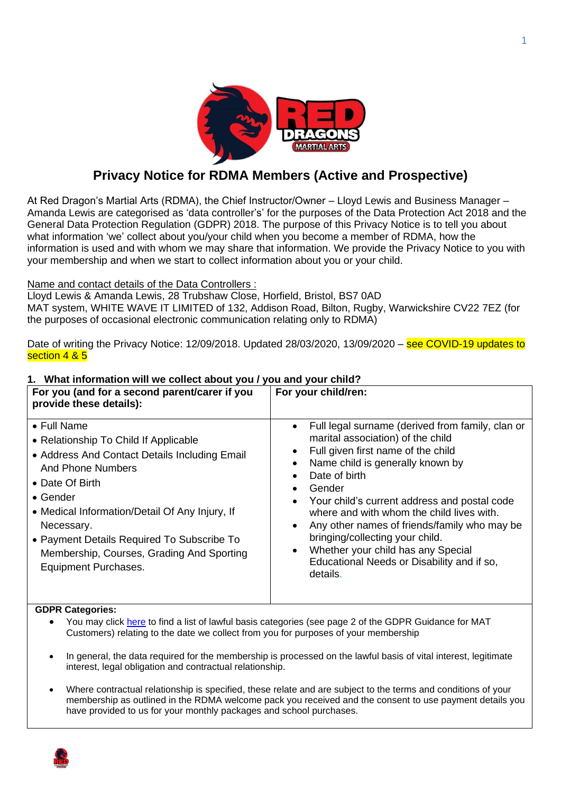

# **Privacy Notice for RDMA Members (Active and Prospective)**

At Red Dragon's Martial Arts (RDMA), the Chief Instructor/Owner – Lloyd Lewis and Business Manager – Amanda Lewis are categorised as 'data controller's' for the purposes of the Data Protection Act 2018 and the General Data Protection Regulation (GDPR) 2018. The purpose of this Privacy Notice is to tell you about what information 'we' collect about you/your child when you become a member of RDMA, how the information is used and with whom we may share that information. We provide the Privacy Notice to you with your membership and when we start to collect information about you or your child.

## Name and contact details of the Data Controllers :

Lloyd Lewis & Amanda Lewis, 28 Trubshaw Close, Horfield, Bristol, BS7 0AD MAT system, WHITE WAVE IT LIMITED of 132, Addison Road, Bilton, Rugby, Warwickshire CV22 7EZ (for the purposes of occasional electronic communication relating only to RDMA)

Date of writing the Privacy Notice: 12/09/2018. Updated 28/03/2020, 13/09/2020 – see COVID-19 updates to section 4 & 5

#### **For you (and for a second parent/carer if you provide these details): For your child/ren:** • Full Name • Relationship To Child If Applicable • Address And Contact Details Including Email And Phone Numbers • Date Of Birth • Gender • Medical Information/Detail Of Any Injury, If Necessary. • Payment Details Required To Subscribe To Membership, Courses, Grading And Sporting Equipment Purchases. • Full legal surname (derived from family, clan or marital association) of the child Full given first name of the child Name child is generally known by Date of birth **Gender** • Your child's current address and postal code where and with whom the child lives with. • Any other names of friends/family who may be bringing/collecting your child. • Whether your child has any Special Educational Needs or Disability and if so, details.

# **1. What information will we collect about you / you and your child?**

#### **GDPR Categories:**

- You may click [here](https://whitewaveit1607-my.sharepoint.com/personal/chris_whitewaveit_com/_layouts/15/onedrive.aspx?id=%2Fpersonal%2Fchris_whitewaveit_com%2FDocuments%2FShared%20with%20Everyone%2FGDPR%20Guide%2Epdf&parent=%2Fpersonal%2Fchris_whitewaveit_com%2FDocuments%2FShared%20with%20Everyone&slrid=fb3e999e-00c3-0000-2acb-2397b013fa54) to find a list of lawful basis categories (see page 2 of the GDPR Guidance for MAT Customers) relating to the date we collect from you for purposes of your membership
- In general, the data required for the membership is processed on the lawful basis of vital interest, legitimate interest, legal obligation and contractual relationship.
- Where contractual relationship is specified, these relate and are subject to the terms and conditions of your membership as outlined in the RDMA welcome pack you received and the consent to use payment details you have provided to us for your monthly packages and school purchases.

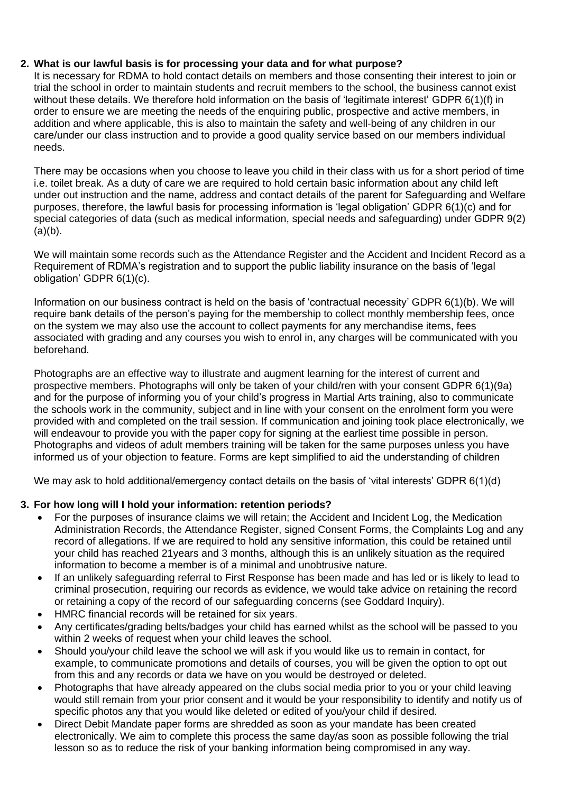# **2. What is our lawful basis is for processing your data and for what purpose?**

It is necessary for RDMA to hold contact details on members and those consenting their interest to join or trial the school in order to maintain students and recruit members to the school, the business cannot exist without these details. We therefore hold information on the basis of 'legitimate interest' GDPR 6(1)(f) in order to ensure we are meeting the needs of the enquiring public, prospective and active members, in addition and where applicable, this is also to maintain the safety and well-being of any children in our care/under our class instruction and to provide a good quality service based on our members individual needs.

There may be occasions when you choose to leave you child in their class with us for a short period of time i.e. toilet break. As a duty of care we are required to hold certain basic information about any child left under out instruction and the name, address and contact details of the parent for Safeguarding and Welfare purposes, therefore, the lawful basis for processing information is 'legal obligation' GDPR 6(1)(c) and for special categories of data (such as medical information, special needs and safeguarding) under GDPR 9(2)  $(a)(b)$ .

We will maintain some records such as the Attendance Register and the Accident and Incident Record as a Requirement of RDMA's registration and to support the public liability insurance on the basis of 'legal obligation' GDPR 6(1)(c).

Information on our business contract is held on the basis of 'contractual necessity' GDPR 6(1)(b). We will require bank details of the person's paying for the membership to collect monthly membership fees, once on the system we may also use the account to collect payments for any merchandise items, fees associated with grading and any courses you wish to enrol in, any charges will be communicated with you beforehand.

Photographs are an effective way to illustrate and augment learning for the interest of current and prospective members. Photographs will only be taken of your child/ren with your consent GDPR 6(1)(9a) and for the purpose of informing you of your child's progress in Martial Arts training, also to communicate the schools work in the community, subject and in line with your consent on the enrolment form you were provided with and completed on the trail session. If communication and joining took place electronically, we will endeavour to provide you with the paper copy for signing at the earliest time possible in person. Photographs and videos of adult members training will be taken for the same purposes unless you have informed us of your objection to feature. Forms are kept simplified to aid the understanding of children

We may ask to hold additional/emergency contact details on the basis of 'vital interests' GDPR 6(1)(d)

## **3. For how long will I hold your information: retention periods?**

- For the purposes of insurance claims we will retain; the Accident and Incident Log, the Medication Administration Records, the Attendance Register, signed Consent Forms, the Complaints Log and any record of allegations. If we are required to hold any sensitive information, this could be retained until your child has reached 21years and 3 months, although this is an unlikely situation as the required information to become a member is of a minimal and unobtrusive nature.
- If an unlikely safeguarding referral to First Response has been made and has led or is likely to lead to criminal prosecution, requiring our records as evidence, we would take advice on retaining the record or retaining a copy of the record of our safeguarding concerns (see Goddard Inquiry).
- HMRC financial records will be retained for six years.
- Any certificates/grading belts/badges your child has earned whilst as the school will be passed to you within 2 weeks of request when your child leaves the school.
- Should you/your child leave the school we will ask if you would like us to remain in contact, for example, to communicate promotions and details of courses, you will be given the option to opt out from this and any records or data we have on you would be destroyed or deleted.
- Photographs that have already appeared on the clubs social media prior to you or your child leaving would still remain from your prior consent and it would be your responsibility to identify and notify us of specific photos any that you would like deleted or edited of you/your child if desired.
- Direct Debit Mandate paper forms are shredded as soon as your mandate has been created electronically. We aim to complete this process the same day/as soon as possible following the trial lesson so as to reduce the risk of your banking information being compromised in any way.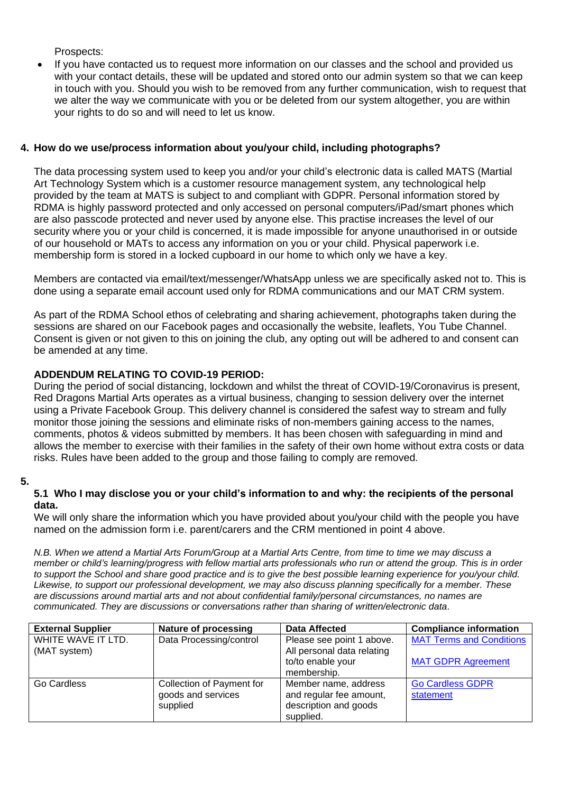Prospects:

• If you have contacted us to request more information on our classes and the school and provided us with your contact details, these will be updated and stored onto our admin system so that we can keep in touch with you. Should you wish to be removed from any further communication, wish to request that we alter the way we communicate with you or be deleted from our system altogether, you are within your rights to do so and will need to let us know.

# **4. How do we use/process information about you/your child, including photographs?**

The data processing system used to keep you and/or your child's electronic data is called MATS (Martial Art Technology System which is a customer resource management system, any technological help provided by the team at MATS is subject to and compliant with GDPR. Personal information stored by RDMA is highly password protected and only accessed on personal computers/iPad/smart phones which are also passcode protected and never used by anyone else. This practise increases the level of our security where you or your child is concerned, it is made impossible for anyone unauthorised in or outside of our household or MATs to access any information on you or your child. Physical paperwork i.e. membership form is stored in a locked cupboard in our home to which only we have a key.

Members are contacted via email/text/messenger/WhatsApp unless we are specifically asked not to. This is done using a separate email account used only for RDMA communications and our MAT CRM system.

As part of the RDMA School ethos of celebrating and sharing achievement, photographs taken during the sessions are shared on our Facebook pages and occasionally the website, leaflets, You Tube Channel. Consent is given or not given to this on joining the club, any opting out will be adhered to and consent can be amended at any time.

# **ADDENDUM RELATING TO COVID-19 PERIOD:**

During the period of social distancing, lockdown and whilst the threat of COVID-19/Coronavirus is present, Red Dragons Martial Arts operates as a virtual business, changing to session delivery over the internet using a Private Facebook Group. This delivery channel is considered the safest way to stream and fully monitor those joining the sessions and eliminate risks of non-members gaining access to the names, comments, photos & videos submitted by members. It has been chosen with safeguarding in mind and allows the member to exercise with their families in the safety of their own home without extra costs or data risks. Rules have been added to the group and those failing to comply are removed.

#### **5.**

## **5.1 Who I may disclose you or your child's information to and why: the recipients of the personal data.**

We will only share the information which you have provided about you/your child with the people you have named on the admission form i.e. parent/carers and the CRM mentioned in point 4 above.

*N.B. When we attend a Martial Arts Forum/Group at a Martial Arts Centre, from time to time we may discuss a member or child's learning/progress with fellow martial arts professionals who run or attend the group. This is in order to support the School and share good practice and is to give the best possible learning experience for you/your child. Likewise, to support our professional development, we may also discuss planning specifically for a member. These are discussions around martial arts and not about confidential family/personal circumstances, no names are communicated. They are discussions or conversations rather than sharing of written/electronic data*.

| <b>External Supplier</b> | Nature of processing      | <b>Data Affected</b>       | <b>Compliance information</b>   |
|--------------------------|---------------------------|----------------------------|---------------------------------|
| WHITE WAVE IT LTD.       | Data Processing/control   | Please see point 1 above.  | <b>MAT Terms and Conditions</b> |
| (MAT system)             |                           | All personal data relating |                                 |
|                          |                           | to/to enable your          | <b>MAT GDPR Agreement</b>       |
|                          |                           | membership.                |                                 |
| Go Cardless              | Collection of Payment for | Member name, address       | <b>Go Cardless GDPR</b>         |
|                          | goods and services        | and regular fee amount,    | statement                       |
|                          | supplied                  | description and goods      |                                 |
|                          |                           | supplied.                  |                                 |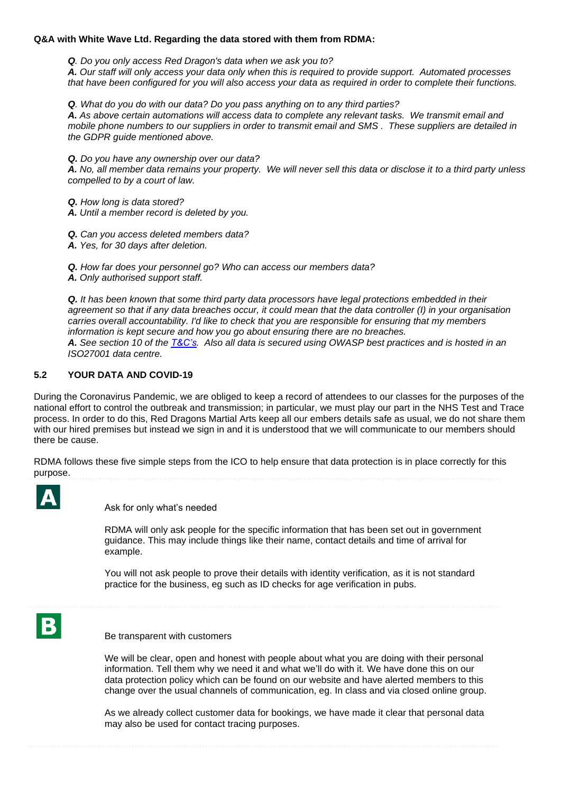#### **Q&A with White Wave Ltd. Regarding the data stored with them from RDMA:**

*Q. Do you only access Red Dragon's data when we ask you to?*

*A. Our staff will only access your data only when this is required to provide support. Automated processes that have been configured for you will also access your data as required in order to complete their functions.* 

*Q. What do you do with our data? Do you pass anything on to any third parties?*

*A. As above certain automations will access data to complete any relevant tasks. We transmit email and mobile phone numbers to our suppliers in order to transmit email and SMS . These suppliers are detailed in the GDPR guide mentioned above.*

*Q. Do you have any ownership over our data?*

*A. No, all member data remains your property. We will never sell this data or disclose it to a third party unless compelled to by a court of law.*

*Q. How long is data stored?*

*A. Until a member record is deleted by you.*

*Q. Can you access deleted members data?*

*A. Yes, for 30 days after deletion.*

*Q. How far does your personnel go? Who can access our members data? A. Only authorised support staff.*

*Q. It has been known that some third party data processors have legal protections embedded in their agreement so that if any data breaches occur, it could mean that the data controller (I) in your organisation carries overall accountability. I'd like to check that you are responsible for ensuring that my members information is kept secure and how you go about ensuring there are no breaches. A. See section 10 of the [T&C's.](https://reddragons.wavecrm.net/Order/ViewTerms) Also all data is secured using OWASP best practices and is hosted in an ISO27001 data centre.*

#### **5.2 YOUR DATA AND COVID-19**

During the Coronavirus Pandemic, we are obliged to keep a record of attendees to our classes for the purposes of the national effort to control the outbreak and transmission; in particular, we must play our part in the NHS Test and Trace process. In order to do this, Red Dragons Martial Arts keep all our embers details safe as usual, we do not share them with our hired premises but instead we sign in and it is understood that we will communicate to our members should there be cause.

RDMA follows these five simple steps from the ICO to help ensure that data protection is in place correctly for this purpose.



Ask for only what's needed

RDMA will only ask people for the specific information that has been set out in government guidance. This may include things like their name, contact details and time of arrival for example.

You will not ask people to prove their details with identity verification, as it is not standard practice for the business, eg such as ID checks for age verification in pubs.



Be transparent with customers

We will be clear, open and honest with people about what you are doing with their personal information. Tell them why we need it and what we'll do with it. We have done this on our data protection policy which can be found on our website and have alerted members to this change over the usual channels of communication, eg. In class and via closed online group.

As we already collect customer data for bookings, we have made it clear that personal data may also be used for contact tracing purposes.